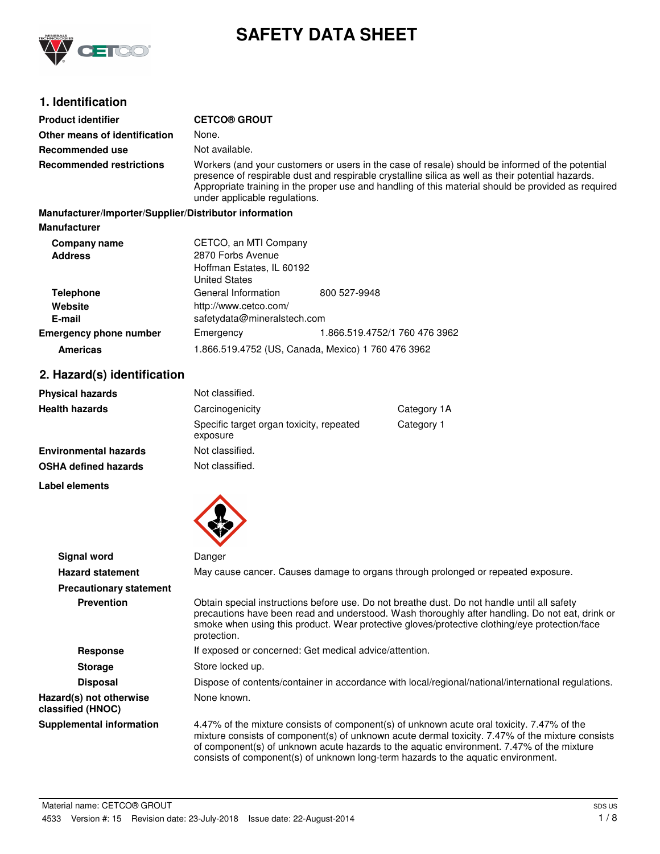

# **SAFETY DATA SHEET**

# **1. Identification**

| <b>Product identifier</b>                              | <b>CETCO® GROUT</b>                                                                                                                                                                                                                                                                                                                          |                                                    |
|--------------------------------------------------------|----------------------------------------------------------------------------------------------------------------------------------------------------------------------------------------------------------------------------------------------------------------------------------------------------------------------------------------------|----------------------------------------------------|
| Other means of identification                          | None.                                                                                                                                                                                                                                                                                                                                        |                                                    |
| Recommended use                                        | Not available.                                                                                                                                                                                                                                                                                                                               |                                                    |
| <b>Recommended restrictions</b>                        | Workers (and your customers or users in the case of resale) should be informed of the potential<br>presence of respirable dust and respirable crystalline silica as well as their potential hazards.<br>Appropriate training in the proper use and handling of this material should be provided as required<br>under applicable regulations. |                                                    |
| Manufacturer/Importer/Supplier/Distributor information |                                                                                                                                                                                                                                                                                                                                              |                                                    |
| <b>Manufacturer</b>                                    |                                                                                                                                                                                                                                                                                                                                              |                                                    |
| Company name                                           | CETCO, an MTI Company                                                                                                                                                                                                                                                                                                                        |                                                    |
| <b>Address</b>                                         | 2870 Forbs Avenue<br>Hoffman Estates, IL 60192<br><b>United States</b>                                                                                                                                                                                                                                                                       |                                                    |
| <b>Telephone</b>                                       | General Information                                                                                                                                                                                                                                                                                                                          | 800 527-9948                                       |
| Website                                                | http://www.cetco.com/                                                                                                                                                                                                                                                                                                                        |                                                    |
| E-mail                                                 | safetydata@mineralstech.com                                                                                                                                                                                                                                                                                                                  |                                                    |
| <b>Emergency phone number</b>                          | Emergency                                                                                                                                                                                                                                                                                                                                    | 1.866.519.4752/1 760 476 3962                      |
| <b>Americas</b>                                        |                                                                                                                                                                                                                                                                                                                                              | 1.866.519.4752 (US, Canada, Mexico) 1 760 476 3962 |

# **2. Hazard(s) identification**

| <b>Physical hazards</b>      | Not classified.                                      |             |
|------------------------------|------------------------------------------------------|-------------|
| <b>Health hazards</b>        | Carcinogenicity                                      | Category 1A |
|                              | Specific target organ toxicity, repeated<br>exposure | Category 1  |
| <b>Environmental hazards</b> | Not classified.                                      |             |
| <b>OSHA defined hazards</b>  | Not classified.                                      |             |

**Label elements**



| <b>Signal word</b>                           | Danger                                                                                                                                                                                                                                                                                                                                                                           |
|----------------------------------------------|----------------------------------------------------------------------------------------------------------------------------------------------------------------------------------------------------------------------------------------------------------------------------------------------------------------------------------------------------------------------------------|
| <b>Hazard statement</b>                      | May cause cancer. Causes damage to organs through prolonged or repeated exposure.                                                                                                                                                                                                                                                                                                |
| <b>Precautionary statement</b>               |                                                                                                                                                                                                                                                                                                                                                                                  |
| <b>Prevention</b>                            | Obtain special instructions before use. Do not breathe dust. Do not handle until all safety<br>precautions have been read and understood. Wash thoroughly after handling. Do not eat, drink or<br>smoke when using this product. Wear protective gloves/protective clothing/eye protection/face<br>protection.                                                                   |
| <b>Response</b>                              | If exposed or concerned: Get medical advice/attention.                                                                                                                                                                                                                                                                                                                           |
| <b>Storage</b>                               | Store locked up.                                                                                                                                                                                                                                                                                                                                                                 |
| <b>Disposal</b>                              | Dispose of contents/container in accordance with local/regional/national/international regulations.                                                                                                                                                                                                                                                                              |
| Hazard(s) not otherwise<br>classified (HNOC) | None known.                                                                                                                                                                                                                                                                                                                                                                      |
| <b>Supplemental information</b>              | 4.47% of the mixture consists of component(s) of unknown acute oral toxicity. 7.47% of the<br>mixture consists of component(s) of unknown acute dermal toxicity. 7.47% of the mixture consists<br>of component(s) of unknown acute hazards to the aquatic environment. 7.47% of the mixture<br>consists of component(s) of unknown long-term hazards to the aquatic environment. |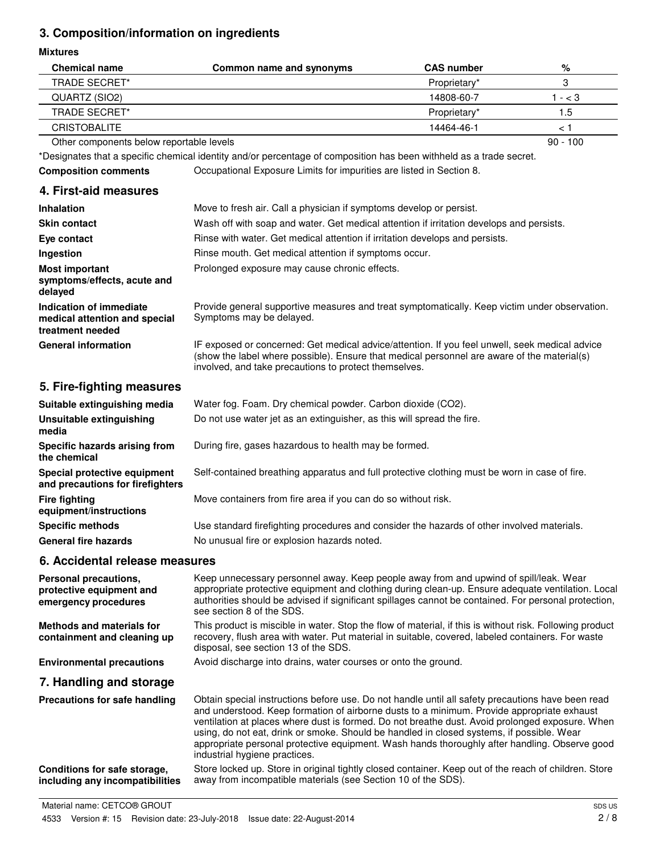# **3. Composition/information on ingredients**

## **Mixtures**

| <b>Chemical name</b>                                                         | Common name and synonyms                                                                                                                                                                                                                                                                                                                                                                                                                                                                                                          | <b>CAS number</b> | %          |
|------------------------------------------------------------------------------|-----------------------------------------------------------------------------------------------------------------------------------------------------------------------------------------------------------------------------------------------------------------------------------------------------------------------------------------------------------------------------------------------------------------------------------------------------------------------------------------------------------------------------------|-------------------|------------|
| TRADE SECRET*                                                                |                                                                                                                                                                                                                                                                                                                                                                                                                                                                                                                                   | Proprietary*      | 3          |
| QUARTZ (SIO2)                                                                |                                                                                                                                                                                                                                                                                                                                                                                                                                                                                                                                   | 14808-60-7        | $1 - < 3$  |
| TRADE SECRET*                                                                |                                                                                                                                                                                                                                                                                                                                                                                                                                                                                                                                   | Proprietary*      | 1.5        |
| <b>CRISTOBALITE</b>                                                          |                                                                                                                                                                                                                                                                                                                                                                                                                                                                                                                                   | 14464-46-1        | < 1        |
| Other components below reportable levels                                     |                                                                                                                                                                                                                                                                                                                                                                                                                                                                                                                                   |                   | $90 - 100$ |
|                                                                              | *Designates that a specific chemical identity and/or percentage of composition has been withheld as a trade secret.                                                                                                                                                                                                                                                                                                                                                                                                               |                   |            |
| <b>Composition comments</b>                                                  | Occupational Exposure Limits for impurities are listed in Section 8.                                                                                                                                                                                                                                                                                                                                                                                                                                                              |                   |            |
| 4. First-aid measures                                                        |                                                                                                                                                                                                                                                                                                                                                                                                                                                                                                                                   |                   |            |
| Inhalation                                                                   | Move to fresh air. Call a physician if symptoms develop or persist.                                                                                                                                                                                                                                                                                                                                                                                                                                                               |                   |            |
| <b>Skin contact</b>                                                          | Wash off with soap and water. Get medical attention if irritation develops and persists.                                                                                                                                                                                                                                                                                                                                                                                                                                          |                   |            |
| Eye contact                                                                  | Rinse with water. Get medical attention if irritation develops and persists.                                                                                                                                                                                                                                                                                                                                                                                                                                                      |                   |            |
| Ingestion                                                                    | Rinse mouth. Get medical attention if symptoms occur.                                                                                                                                                                                                                                                                                                                                                                                                                                                                             |                   |            |
| <b>Most important</b><br>symptoms/effects, acute and<br>delayed              | Prolonged exposure may cause chronic effects.                                                                                                                                                                                                                                                                                                                                                                                                                                                                                     |                   |            |
| Indication of immediate<br>medical attention and special<br>treatment needed | Provide general supportive measures and treat symptomatically. Keep victim under observation.<br>Symptoms may be delayed.                                                                                                                                                                                                                                                                                                                                                                                                         |                   |            |
| <b>General information</b>                                                   | IF exposed or concerned: Get medical advice/attention. If you feel unwell, seek medical advice<br>(show the label where possible). Ensure that medical personnel are aware of the material(s)<br>involved, and take precautions to protect themselves.                                                                                                                                                                                                                                                                            |                   |            |
| 5. Fire-fighting measures                                                    |                                                                                                                                                                                                                                                                                                                                                                                                                                                                                                                                   |                   |            |
| Suitable extinguishing media                                                 | Water fog. Foam. Dry chemical powder. Carbon dioxide (CO2).                                                                                                                                                                                                                                                                                                                                                                                                                                                                       |                   |            |
| <b>Unsuitable extinguishing</b><br>media                                     | Do not use water jet as an extinguisher, as this will spread the fire.                                                                                                                                                                                                                                                                                                                                                                                                                                                            |                   |            |
| Specific hazards arising from<br>the chemical                                | During fire, gases hazardous to health may be formed.                                                                                                                                                                                                                                                                                                                                                                                                                                                                             |                   |            |
| Special protective equipment<br>and precautions for firefighters             | Self-contained breathing apparatus and full protective clothing must be worn in case of fire.                                                                                                                                                                                                                                                                                                                                                                                                                                     |                   |            |
| <b>Fire fighting</b><br>equipment/instructions                               | Move containers from fire area if you can do so without risk.                                                                                                                                                                                                                                                                                                                                                                                                                                                                     |                   |            |
| <b>Specific methods</b>                                                      | Use standard firefighting procedures and consider the hazards of other involved materials.                                                                                                                                                                                                                                                                                                                                                                                                                                        |                   |            |
| <b>General fire hazards</b>                                                  | No unusual fire or explosion hazards noted.                                                                                                                                                                                                                                                                                                                                                                                                                                                                                       |                   |            |
| 6. Accidental release measures                                               |                                                                                                                                                                                                                                                                                                                                                                                                                                                                                                                                   |                   |            |
| Personal precautions,<br>protective equipment and<br>emergency procedures    | Keep unnecessary personnel away. Keep people away from and upwind of spill/leak. Wear<br>appropriate protective equipment and clothing during clean-up. Ensure adequate ventilation. Local<br>authorities should be advised if significant spillages cannot be contained. For personal protection,<br>see section 8 of the SDS.                                                                                                                                                                                                   |                   |            |
| <b>Methods and materials for</b><br>containment and cleaning up              | This product is miscible in water. Stop the flow of material, if this is without risk. Following product<br>recovery, flush area with water. Put material in suitable, covered, labeled containers. For waste<br>disposal, see section 13 of the SDS.                                                                                                                                                                                                                                                                             |                   |            |
| <b>Environmental precautions</b>                                             | Avoid discharge into drains, water courses or onto the ground.                                                                                                                                                                                                                                                                                                                                                                                                                                                                    |                   |            |
| 7. Handling and storage                                                      |                                                                                                                                                                                                                                                                                                                                                                                                                                                                                                                                   |                   |            |
| Precautions for safe handling                                                | Obtain special instructions before use. Do not handle until all safety precautions have been read<br>and understood. Keep formation of airborne dusts to a minimum. Provide appropriate exhaust<br>ventilation at places where dust is formed. Do not breathe dust. Avoid prolonged exposure. When<br>using, do not eat, drink or smoke. Should be handled in closed systems, if possible. Wear<br>appropriate personal protective equipment. Wash hands thoroughly after handling. Observe good<br>industrial hygiene practices. |                   |            |
| Conditions for safe storage,<br>including any incompatibilities              | Store locked up. Store in original tightly closed container. Keep out of the reach of children. Store<br>away from incompatible materials (see Section 10 of the SDS).                                                                                                                                                                                                                                                                                                                                                            |                   |            |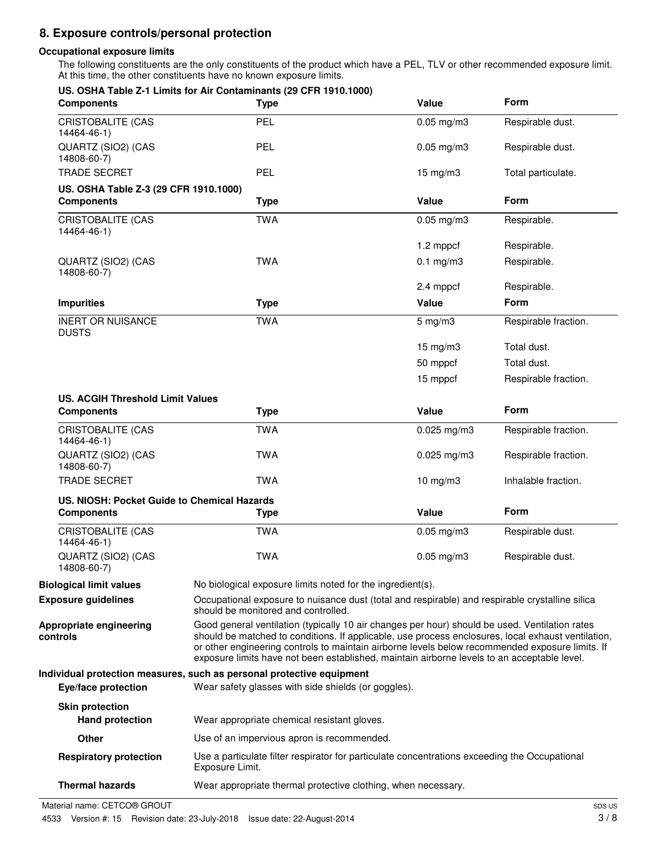# **8. Exposure controls/personal protection**

## **Occupational exposure limits**

The following constituents are the only constituents of the product which have a PEL, TLV or other recommended exposure limit. At this time, the other constituents have no known exposure limits.

| <b>Components</b>                                                | US. OSHA Table Z-1 Limits for Air Contaminants (29 CFR 1910.1000)<br><b>Type</b>                                                                                                                                                                                                                                                                                                                       | Value              | <b>Form</b>          |
|------------------------------------------------------------------|--------------------------------------------------------------------------------------------------------------------------------------------------------------------------------------------------------------------------------------------------------------------------------------------------------------------------------------------------------------------------------------------------------|--------------------|----------------------|
| <b>CRISTOBALITE (CAS</b><br>14464-46-1)                          | PEL                                                                                                                                                                                                                                                                                                                                                                                                    | $0.05$ mg/m $3$    | Respirable dust.     |
| QUARTZ (SIO2) (CAS<br>14808-60-7)                                | <b>PEL</b>                                                                                                                                                                                                                                                                                                                                                                                             | $0.05$ mg/m $3$    | Respirable dust.     |
| <b>TRADE SECRET</b>                                              | PEL                                                                                                                                                                                                                                                                                                                                                                                                    | $15 \text{ mg/m}$  | Total particulate.   |
| US. OSHA Table Z-3 (29 CFR 1910.1000)                            |                                                                                                                                                                                                                                                                                                                                                                                                        |                    |                      |
| <b>Components</b>                                                | <b>Type</b>                                                                                                                                                                                                                                                                                                                                                                                            | Value              | <b>Form</b>          |
| <b>CRISTOBALITE (CAS</b><br>14464-46-1)                          | <b>TWA</b>                                                                                                                                                                                                                                                                                                                                                                                             | $0.05$ mg/m $3$    | Respirable.          |
|                                                                  |                                                                                                                                                                                                                                                                                                                                                                                                        | 1.2 mppcf          | Respirable.          |
| QUARTZ (SIO2) (CAS<br>14808-60-7)                                | <b>TWA</b>                                                                                                                                                                                                                                                                                                                                                                                             | $0.1$ mg/m $3$     | Respirable.          |
|                                                                  |                                                                                                                                                                                                                                                                                                                                                                                                        | 2.4 mppcf          | Respirable.          |
| <b>Impurities</b>                                                | <b>Type</b>                                                                                                                                                                                                                                                                                                                                                                                            | Value              | <b>Form</b>          |
| <b>INERT OR NUISANCE</b><br><b>DUSTS</b>                         | <b>TWA</b>                                                                                                                                                                                                                                                                                                                                                                                             | $5 \text{ mg/m}$ 3 | Respirable fraction. |
|                                                                  |                                                                                                                                                                                                                                                                                                                                                                                                        | $15 \text{ mg/m}$  | Total dust.          |
|                                                                  |                                                                                                                                                                                                                                                                                                                                                                                                        | 50 mppcf           | Total dust.          |
|                                                                  |                                                                                                                                                                                                                                                                                                                                                                                                        | 15 mppcf           | Respirable fraction. |
| <b>US. ACGIH Threshold Limit Values</b><br><b>Components</b>     | <b>Type</b>                                                                                                                                                                                                                                                                                                                                                                                            | Value              | Form                 |
| <b>CRISTOBALITE (CAS</b><br>14464-46-1)                          | <b>TWA</b>                                                                                                                                                                                                                                                                                                                                                                                             | $0.025$ mg/m3      | Respirable fraction. |
| QUARTZ (SIO2) (CAS<br>14808-60-7)                                | <b>TWA</b>                                                                                                                                                                                                                                                                                                                                                                                             | $0.025$ mg/m3      | Respirable fraction. |
| <b>TRADE SECRET</b>                                              | <b>TWA</b>                                                                                                                                                                                                                                                                                                                                                                                             | 10 $mg/m3$         | Inhalable fraction.  |
| US. NIOSH: Pocket Guide to Chemical Hazards<br><b>Components</b> | <b>Type</b>                                                                                                                                                                                                                                                                                                                                                                                            | Value              | <b>Form</b>          |
| <b>CRISTOBALITE (CAS</b><br>14464-46-1)                          | <b>TWA</b>                                                                                                                                                                                                                                                                                                                                                                                             | $0.05$ mg/m $3$    | Respirable dust.     |
| QUARTZ (SIO2) (CAS<br>14808-60-7)                                | <b>TWA</b>                                                                                                                                                                                                                                                                                                                                                                                             | $0.05$ mg/m $3$    | Respirable dust.     |
| <b>Biological limit values</b>                                   | No biological exposure limits noted for the ingredient(s).                                                                                                                                                                                                                                                                                                                                             |                    |                      |
| <b>Exposure guidelines</b>                                       | Occupational exposure to nuisance dust (total and respirable) and respirable crystalline silica<br>should be monitored and controlled.                                                                                                                                                                                                                                                                 |                    |                      |
| Appropriate engineering<br>controls                              | Good general ventilation (typically 10 air changes per hour) should be used. Ventilation rates<br>should be matched to conditions. If applicable, use process enclosures, local exhaust ventilation,<br>or other engineering controls to maintain airborne levels below recommended exposure limits. If<br>exposure limits have not been established, maintain airborne levels to an acceptable level. |                    |                      |
| Eye/face protection                                              | Individual protection measures, such as personal protective equipment<br>Wear safety glasses with side shields (or goggles).                                                                                                                                                                                                                                                                           |                    |                      |
| <b>Skin protection</b><br><b>Hand protection</b>                 | Wear appropriate chemical resistant gloves.                                                                                                                                                                                                                                                                                                                                                            |                    |                      |
| Other                                                            | Use of an impervious apron is recommended.                                                                                                                                                                                                                                                                                                                                                             |                    |                      |
| <b>Respiratory protection</b>                                    | Use a particulate filter respirator for particulate concentrations exceeding the Occupational<br>Exposure Limit.                                                                                                                                                                                                                                                                                       |                    |                      |
| <b>Thermal hazards</b>                                           | Wear appropriate thermal protective clothing, when necessary.                                                                                                                                                                                                                                                                                                                                          |                    |                      |

Material name: CETCO® GROUT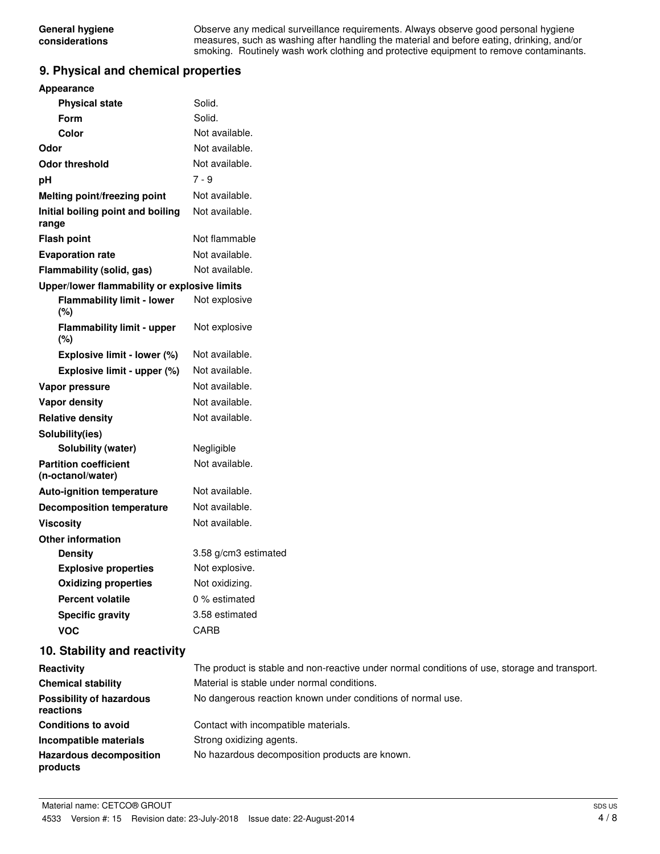Observe any medical surveillance requirements. Always observe good personal hygiene measures, such as washing after handling the material and before eating, drinking, and/or smoking. Routinely wash work clothing and protective equipment to remove contaminants.

# **9. Physical and chemical properties**

| Appearance                                        |                                                                                               |
|---------------------------------------------------|-----------------------------------------------------------------------------------------------|
| <b>Physical state</b>                             | Solid.                                                                                        |
| Form                                              | Solid.                                                                                        |
| Color                                             | Not available.                                                                                |
| Odor                                              | Not available.                                                                                |
| <b>Odor threshold</b>                             | Not available.                                                                                |
| pH                                                | $7 - 9$                                                                                       |
| Melting point/freezing point                      | Not available.                                                                                |
| Initial boiling point and boiling<br>range        | Not available.                                                                                |
| <b>Flash point</b>                                | Not flammable                                                                                 |
| <b>Evaporation rate</b>                           | Not available.                                                                                |
| Flammability (solid, gas)                         | Not available.                                                                                |
| Upper/lower flammability or explosive limits      |                                                                                               |
| <b>Flammability limit - lower</b><br>(%)          | Not explosive                                                                                 |
| <b>Flammability limit - upper</b><br>(%)          | Not explosive                                                                                 |
| Explosive limit - lower (%)                       | Not available.                                                                                |
| Explosive limit - upper (%)                       | Not available.                                                                                |
| Vapor pressure                                    | Not available.                                                                                |
| Vapor density                                     | Not available.                                                                                |
| <b>Relative density</b>                           | Not available.                                                                                |
| Solubility(ies)                                   |                                                                                               |
| <b>Solubility (water)</b>                         | Negligible                                                                                    |
| <b>Partition coefficient</b><br>(n-octanol/water) | Not available.                                                                                |
| <b>Auto-ignition temperature</b>                  | Not available.                                                                                |
| <b>Decomposition temperature</b>                  | Not available.                                                                                |
| <b>Viscosity</b>                                  | Not available.                                                                                |
| <b>Other information</b>                          |                                                                                               |
| <b>Density</b>                                    | 3.58 g/cm3 estimated                                                                          |
| <b>Explosive properties</b>                       | Not explosive.                                                                                |
| <b>Oxidizing properties</b>                       | Not oxidizing.                                                                                |
| <b>Percent volatile</b>                           | 0 % estimated                                                                                 |
| <b>Specific gravity</b>                           | 3.58 estimated                                                                                |
| <b>VOC</b>                                        | CARB                                                                                          |
| 10. Stability and reactivity                      |                                                                                               |
| Reactivity                                        | The product is stable and non-reactive under normal conditions of use, storage and transport. |
| <b>Chemical stability</b>                         | Material is stable under normal conditions.                                                   |
| <b>Possibility of hazardous</b><br>reactions      | No dangerous reaction known under conditions of normal use.                                   |
| <b>Conditions to avoid</b>                        | Contact with incompatible materials.                                                          |
| Incompatible materials                            | Strong oxidizing agents.                                                                      |
| Hazardous decomposition                           | No hazardous decomposition products are known.                                                |

**products**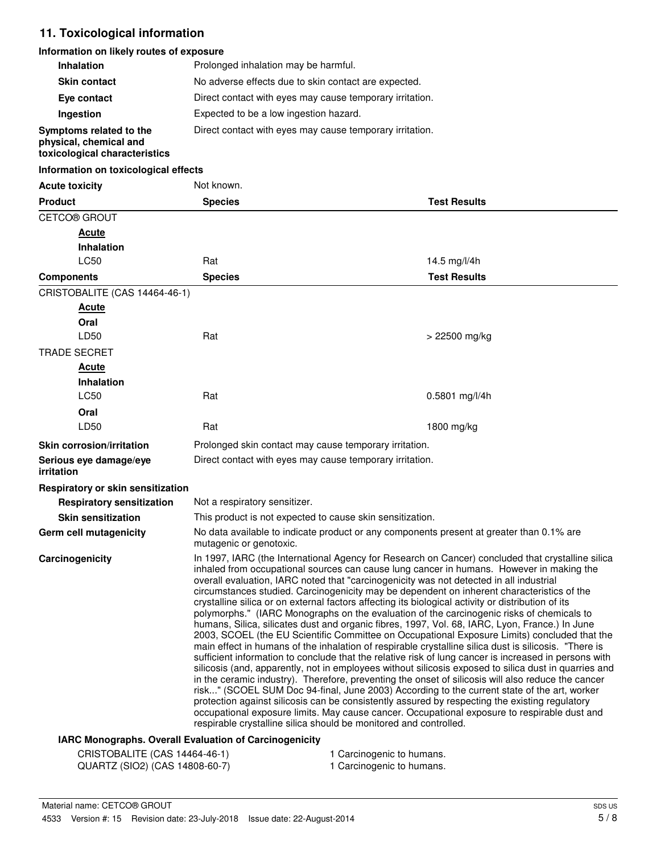## **11. Toxicological information**

**irritation**

## **Information on likely routes of exposure**

| <b>Inhalation</b>                                                                  |                                                          | Prolonged inhalation may be harmful.                     |  |  |
|------------------------------------------------------------------------------------|----------------------------------------------------------|----------------------------------------------------------|--|--|
| <b>Skin contact</b>                                                                | No adverse effects due to skin contact are expected.     |                                                          |  |  |
| Eye contact                                                                        | Direct contact with eyes may cause temporary irritation. |                                                          |  |  |
| Ingestion                                                                          |                                                          | Expected to be a low ingestion hazard.                   |  |  |
| Symptoms related to the<br>physical, chemical and<br>toxicological characteristics |                                                          | Direct contact with eyes may cause temporary irritation. |  |  |
| Information on toxicological effects                                               |                                                          |                                                          |  |  |
| <b>Acute toxicity</b>                                                              | Not known.                                               |                                                          |  |  |
| <b>Product</b>                                                                     | <b>Species</b>                                           | <b>Test Results</b>                                      |  |  |
| CETCO® GROUT                                                                       |                                                          |                                                          |  |  |
| Acute                                                                              |                                                          |                                                          |  |  |
| <b>Inhalation</b>                                                                  |                                                          |                                                          |  |  |
| LC50                                                                               | Rat                                                      | 14.5 mg/l/4h                                             |  |  |
| <b>Components</b>                                                                  | <b>Species</b>                                           | <b>Test Results</b>                                      |  |  |
| CRISTOBALITE (CAS 14464-46-1)                                                      |                                                          |                                                          |  |  |
| <b>Acute</b>                                                                       |                                                          |                                                          |  |  |
| Oral                                                                               |                                                          |                                                          |  |  |
| LD50                                                                               | Rat                                                      | > 22500 mg/kg                                            |  |  |
| <b>TRADE SECRET</b>                                                                |                                                          |                                                          |  |  |
| Acute<br><b>Inhalation</b>                                                         |                                                          |                                                          |  |  |
| <b>LC50</b>                                                                        | Rat                                                      | 0.5801 mg/l/4h                                           |  |  |
| Oral                                                                               |                                                          |                                                          |  |  |
| LD50                                                                               | Rat                                                      | 1800 mg/kg                                               |  |  |
| Skin corrosion/irritation                                                          | Prolonged skin contact may cause temporary irritation.   |                                                          |  |  |
| Serious eye damage/eye                                                             | Direct contact with eyes may cause temporary irritation. |                                                          |  |  |

**Respiratory or skin sensitization Respiratory sensitization** Not a respiratory sensitizer. **Skin sensitization** This product is not expected to cause skin sensitization. No data available to indicate product or any components present at greater than 0.1% are mutagenic or genotoxic. **Germ cell mutagenicity Carcinogenicity** In 1997, IARC (the International Agency for Research on Cancer) concluded that crystalline silica inhaled from occupational sources can cause lung cancer in humans. However in making the overall evaluation, IARC noted that "carcinogenicity was not detected in all industrial circumstances studied. Carcinogenicity may be dependent on inherent characteristics of the crystalline silica or on external factors affecting its biological activity or distribution of its polymorphs." (IARC Monographs on the evaluation of the carcinogenic risks of chemicals to humans, Silica, silicates dust and organic fibres, 1997, Vol. 68, IARC, Lyon, France.) In June 2003, SCOEL (the EU Scientific Committee on Occupational Exposure Limits) concluded that the main effect in humans of the inhalation of respirable crystalline silica dust is silicosis. "There is sufficient information to conclude that the relative risk of lung cancer is increased in persons with

silicosis (and, apparently, not in employees without silicosis exposed to silica dust in quarries and in the ceramic industry). Therefore, preventing the onset of silicosis will also reduce the cancer risk..." (SCOEL SUM Doc 94-final, June 2003) According to the current state of the art, worker protection against silicosis can be consistently assured by respecting the existing regulatory occupational exposure limits. May cause cancer. Occupational exposure to respirable dust and respirable crystalline silica should be monitored and controlled.

#### **IARC Monographs. Overall Evaluation of Carcinogenicity**

| CRISTOBALITE (CAS 14464-46-1)  | 1 Carcinogenic to humans. |
|--------------------------------|---------------------------|
| QUARTZ (SIO2) (CAS 14808-60-7) | 1 Carcinogenic to humans. |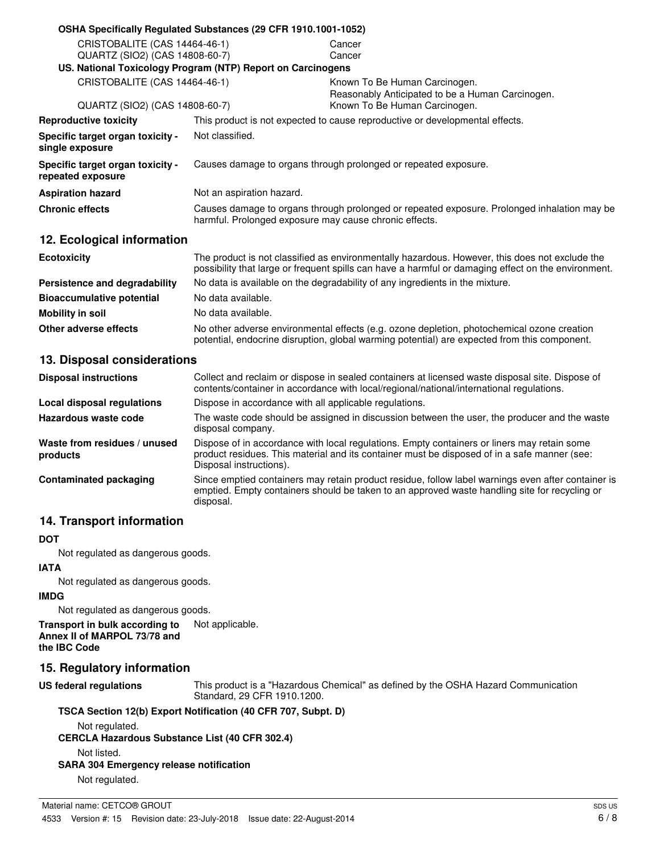|                                                       | OSHA Specifically Regulated Substances (29 CFR 1910.1001-1052)                                                                                                                                        |                                                                                   |
|-------------------------------------------------------|-------------------------------------------------------------------------------------------------------------------------------------------------------------------------------------------------------|-----------------------------------------------------------------------------------|
| CRISTOBALITE (CAS 14464-46-1)                         |                                                                                                                                                                                                       | Cancer                                                                            |
| QUARTZ (SIO2) (CAS 14808-60-7)                        |                                                                                                                                                                                                       | Cancer                                                                            |
|                                                       | US. National Toxicology Program (NTP) Report on Carcinogens                                                                                                                                           |                                                                                   |
| CRISTOBALITE (CAS 14464-46-1)                         |                                                                                                                                                                                                       | Known To Be Human Carcinogen.<br>Reasonably Anticipated to be a Human Carcinogen. |
| QUARTZ (SIO2) (CAS 14808-60-7)                        |                                                                                                                                                                                                       | Known To Be Human Carcinogen.                                                     |
| <b>Reproductive toxicity</b>                          | This product is not expected to cause reproductive or developmental effects.                                                                                                                          |                                                                                   |
| Specific target organ toxicity -<br>single exposure   | Not classified.                                                                                                                                                                                       |                                                                                   |
| Specific target organ toxicity -<br>repeated exposure | Causes damage to organs through prolonged or repeated exposure.                                                                                                                                       |                                                                                   |
| <b>Aspiration hazard</b>                              | Not an aspiration hazard.                                                                                                                                                                             |                                                                                   |
| <b>Chronic effects</b>                                | Causes damage to organs through prolonged or repeated exposure. Prolonged inhalation may be<br>harmful. Prolonged exposure may cause chronic effects.                                                 |                                                                                   |
| 12. Ecological information                            |                                                                                                                                                                                                       |                                                                                   |
| <b>Ecotoxicity</b>                                    | The product is not classified as environmentally hazardous. However, this does not exclude the<br>possibility that large or frequent spills can have a harmful or damaging effect on the environment. |                                                                                   |
| Persistence and degradability                         | No data is available on the degradability of any ingredients in the mixture.                                                                                                                          |                                                                                   |
| <b>Bioaccumulative potential</b>                      | No data available.                                                                                                                                                                                    |                                                                                   |
| <b>Mobility in soil</b>                               | No data available.                                                                                                                                                                                    |                                                                                   |

**Other adverse effects** No other adverse environmental effects (e.g. ozone depletion, photochemical ozone creation potential, endocrine disruption, global warming potential) are expected from this component.

## **13. Disposal considerations**

| <b>Disposal instructions</b>             | Collect and reclaim or dispose in sealed containers at licensed waste disposal site. Dispose of<br>contents/container in accordance with local/regional/national/international regulations.                            |
|------------------------------------------|------------------------------------------------------------------------------------------------------------------------------------------------------------------------------------------------------------------------|
| Local disposal regulations               | Dispose in accordance with all applicable regulations.                                                                                                                                                                 |
| Hazardous waste code                     | The waste code should be assigned in discussion between the user, the producer and the waste<br>disposal company.                                                                                                      |
| Waste from residues / unused<br>products | Dispose of in accordance with local regulations. Empty containers or liners may retain some<br>product residues. This material and its container must be disposed of in a safe manner (see:<br>Disposal instructions). |
| Contaminated packaging                   | Since emptied containers may retain product residue, follow label warnings even after container is<br>emptied. Empty containers should be taken to an approved waste handling site for recycling or<br>disposal.       |

## **14. Transport information**

### **DOT**

Not regulated as dangerous goods.

# **IATA**

Not regulated as dangerous goods.

## **IMDG**

Not regulated as dangerous goods.

**Transport in bulk according to** Not applicable. **Annex II of MARPOL 73/78 and the IBC Code**

## **15. Regulatory information**

This product is a "Hazardous Chemical" as defined by the OSHA Hazard Communication Standard, 29 CFR 1910.1200. **US federal regulations**

## **TSCA Section 12(b) Export Notification (40 CFR 707, Subpt. D)**

Not regulated. **CERCLA Hazardous Substance List (40 CFR 302.4)** Not listed. **SARA 304 Emergency release notification**

Not regulated.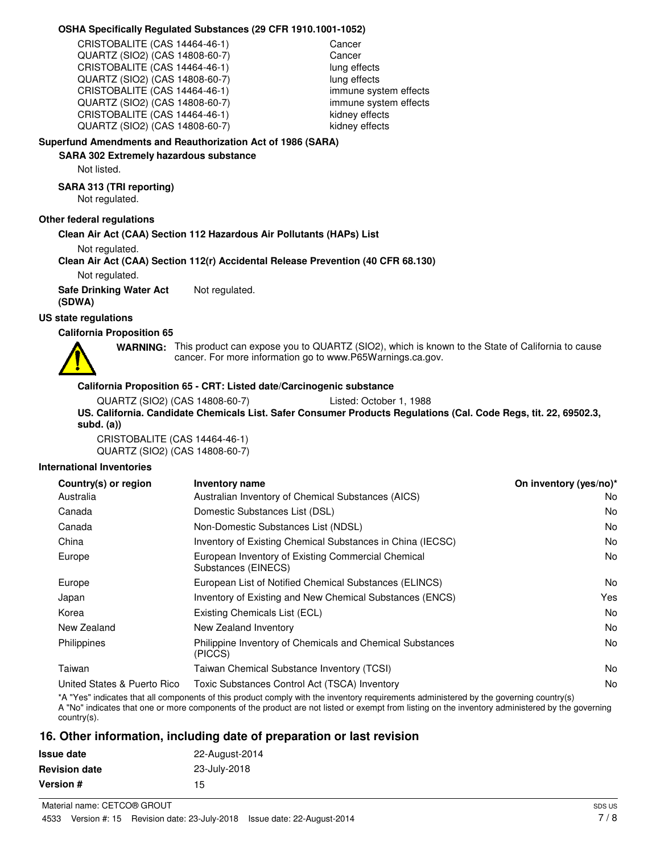#### **OSHA Specifically Regulated Substances (29 CFR 1910.1001-1052)**

CRISTOBALITE (CAS 14464-46-1) Cancer QUARTZ (SIO2) (CAS 14808-60-7) Cancer CRISTOBALITE (CAS 14464-46-1) lung effects QUARTZ (SIO2) (CAS 14808-60-7) lung effects CRISTOBALITE (CAS 14464-46-1) immune system effects QUARTZ (SIO2) (CAS 14808-60-7) immune system effects CRISTOBALITE (CAS 14464-46-1) kidney effects QUARTZ (SIO2) (CAS 14808-60-7) kidney effects

### **Superfund Amendments and Reauthorization Act of 1986 (SARA)**

## **SARA 302 Extremely hazardous substance**

Not listed.

### **SARA 313 (TRI reporting)**

Not regulated.

### **Other federal regulations**

**Clean Air Act (CAA) Section 112 Hazardous Air Pollutants (HAPs) List**

Not regulated.

**Clean Air Act (CAA) Section 112(r) Accidental Release Prevention (40 CFR 68.130)**

Not regulated.

**Safe Drinking Water Act** Not regulated.

# **(SDWA)**

**US state regulations**

**California Proposition 65**

WARNING: This product can expose you to QUARTZ (SIO2), which is known to the State of California to cause cancer. For more information go to www.P65Warnings.ca.gov.

### **California Proposition 65 - CRT: Listed date/Carcinogenic substance**

QUARTZ (SIO2) (CAS 14808-60-7) Listed: October 1, 1988 **US. California. Candidate Chemicals List. Safer Consumer Products Regulations (Cal. Code Regs, tit. 22, 69502.3, subd. (a))** CRISTOBALITE (CAS 14464-46-1)

QUARTZ (SIO2) (CAS 14808-60-7)

## **International Inventories**

| Country(s) or region        | Inventory name                                                            | On inventory (yes/no)* |
|-----------------------------|---------------------------------------------------------------------------|------------------------|
| Australia                   | Australian Inventory of Chemical Substances (AICS)                        | No.                    |
| Canada                      | Domestic Substances List (DSL)                                            | No.                    |
| Canada                      | Non-Domestic Substances List (NDSL)                                       | No.                    |
| China                       | Inventory of Existing Chemical Substances in China (IECSC)                | No.                    |
| Europe                      | European Inventory of Existing Commercial Chemical<br>Substances (EINECS) | No.                    |
| Europe                      | European List of Notified Chemical Substances (ELINCS)                    | No.                    |
| Japan                       | Inventory of Existing and New Chemical Substances (ENCS)                  | Yes                    |
| Korea                       | Existing Chemicals List (ECL)                                             | No.                    |
| New Zealand                 | New Zealand Inventory                                                     | No.                    |
| Philippines                 | Philippine Inventory of Chemicals and Chemical Substances<br>(PICCS)      | No.                    |
| Taiwan                      | Taiwan Chemical Substance Inventory (TCSI)                                | No.                    |
| United States & Puerto Rico | Toxic Substances Control Act (TSCA) Inventory                             | No                     |

\*A "Yes" indicates that all components of this product comply with the inventory requirements administered by the governing country(s) A "No" indicates that one or more components of the product are not listed or exempt from listing on the inventory administered by the governing country(s).

## **16. Other information, including date of preparation or last revision**

| <b>Issue date</b>    | 22-August-2014 |
|----------------------|----------------|
| <b>Revision date</b> | 23-July-2018   |
| <b>Version #</b>     | 15             |